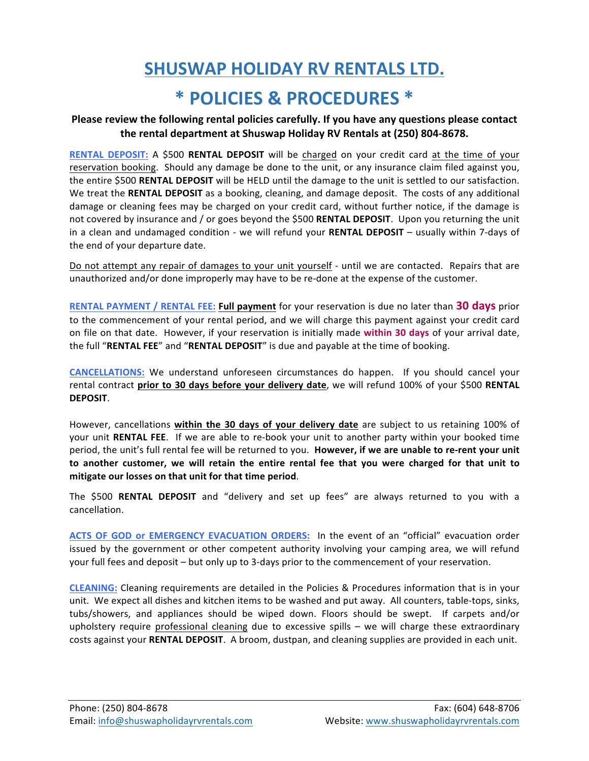## **SHUSWAP HOLIDAY RV RENTALS LTD.**

#### **\* POLICIES & PROCEDURES \***

#### Please review the following rental policies carefully. If you have any questions please contact the rental department at Shuswap Holiday RV Rentals at (250) 804-8678.

**RENTAL DEPOSIT:** A \$500 **RENTAL DEPOSIT** will be charged on your credit card at the time of your reservation booking. Should any damage be done to the unit, or any insurance claim filed against you, the entire \$500 **RENTAL DEPOSIT** will be HELD until the damage to the unit is settled to our satisfaction. We treat the RENTAL DEPOSIT as a booking, cleaning, and damage deposit. The costs of any additional damage or cleaning fees may be charged on your credit card, without further notice, if the damage is not covered by insurance and / or goes beyond the \$500 **RENTAL DEPOSIT**. Upon you returning the unit in a clean and undamaged condition - we will refund your RENTAL DEPOSIT – usually within 7-days of the end of your departure date.

Do not attempt any repair of damages to your unit yourself - until we are contacted. Repairs that are unauthorized and/or done improperly may have to be re-done at the expense of the customer.

**RENTAL PAYMENT** / RENTAL FEE: Full payment for your reservation is due no later than 30 days prior to the commencement of your rental period, and we will charge this payment against your credit card on file on that date. However, if your reservation is initially made within 30 days of your arrival date, the full "RENTAL FEE" and "RENTAL DEPOSIT" is due and payable at the time of booking.

**CANCELLATIONS:** We understand unforeseen circumstances do happen. If you should cancel your rental contract *prior to 30 days before your delivery date*, we will refund 100% of your \$500 RENTAL **DEPOSIT**. 

However, cancellations within the 30 days of your delivery date are subject to us retaining 100% of your unit **RENTAL FEE**. If we are able to re-book your unit to another party within your booked time period, the unit's full rental fee will be returned to you. However, if we are unable to re-rent your unit to another customer, we will retain the entire rental fee that you were charged for that unit to mitigate our losses on that unit for that time period.

The \$500 RENTAL DEPOSIT and "delivery and set up fees" are always returned to you with a cancellation.

**ACTS OF GOD or EMERGENCY EVACUATION ORDERS:** In the event of an "official" evacuation order issued by the government or other competent authority involving your camping area, we will refund your full fees and deposit – but only up to 3-days prior to the commencement of your reservation.

**CLEANING:** Cleaning requirements are detailed in the Policies & Procedures information that is in your unit. We expect all dishes and kitchen items to be washed and put away. All counters, table-tops, sinks, tubs/showers, and appliances should be wiped down. Floors should be swept. If carpets and/or upholstery require professional cleaning due to excessive spills  $-$  we will charge these extraordinary costs against your **RENTAL DEPOSIT**. A broom, dustpan, and cleaning supplies are provided in each unit.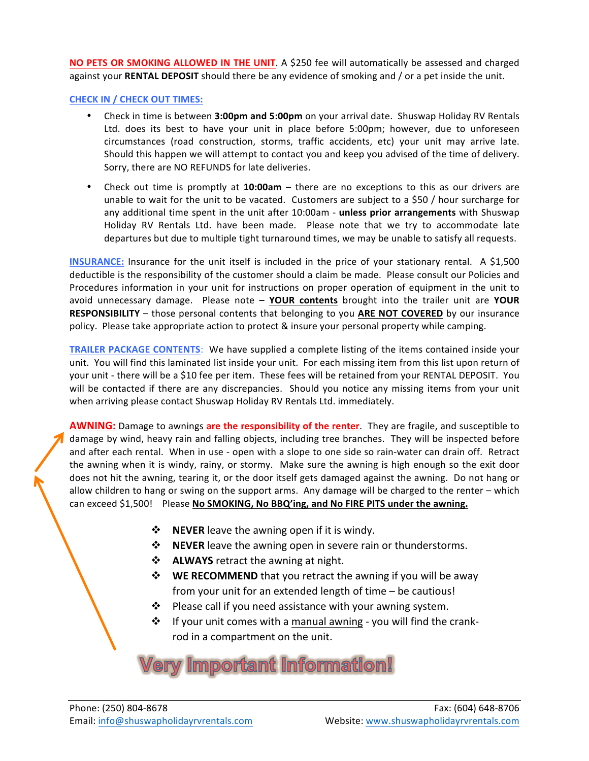**NO PETS OR SMOKING ALLOWED IN THE UNIT**. A \$250 fee will automatically be assessed and charged against your **RENTAL DEPOSIT** should there be any evidence of smoking and / or a pet inside the unit.

**CHECK IN / CHECK OUT TIMES:** 

- Check in time is between 3:00pm and 5:00pm on your arrival date. Shuswap Holiday RV Rentals Ltd. does its best to have your unit in place before 5:00pm; however, due to unforeseen circumstances (road construction, storms, traffic accidents, etc) your unit may arrive late. Should this happen we will attempt to contact you and keep you advised of the time of delivery. Sorry, there are NO REFUNDS for late deliveries.
- Check out time is promptly at 10:00am there are no exceptions to this as our drivers are unable to wait for the unit to be vacated. Customers are subject to a \$50  $/$  hour surcharge for any additional time spent in the unit after 10:00am - **unless prior arrangements** with Shuswap Holiday RV Rentals Ltd. have been made. Please note that we try to accommodate late departures but due to multiple tight turnaround times, we may be unable to satisfy all requests.

**INSURANCE:** Insurance for the unit itself is included in the price of your stationary rental. A \$1,500 deductible is the responsibility of the customer should a claim be made. Please consult our Policies and Procedures information in your unit for instructions on proper operation of equipment in the unit to avoid unnecessary damage. Please note - YOUR contents brought into the trailer unit are YOUR **RESPONSIBILITY** – those personal contents that belonging to you ARE NOT COVERED by our insurance policy. Please take appropriate action to protect & insure your personal property while camping.

**TRAILER PACKAGE CONTENTS:** We have supplied a complete listing of the items contained inside your unit. You will find this laminated list inside your unit. For each missing item from this list upon return of your unit - there will be a \$10 fee per item. These fees will be retained from your RENTAL DEPOSIT. You will be contacted if there are any discrepancies. Should you notice any missing items from your unit when arriving please contact Shuswap Holiday RV Rentals Ltd. immediately.

**AWNING:** Damage to awnings are the responsibility of the renter. They are fragile, and susceptible to damage by wind, heavy rain and falling objects, including tree branches. They will be inspected before and after each rental. When in use - open with a slope to one side so rain-water can drain off. Retract the awning when it is windy, rainy, or stormy. Make sure the awning is high enough so the exit door does not hit the awning, tearing it, or the door itself gets damaged against the awning. Do not hang or allow children to hang or swing on the support arms. Any damage will be charged to the renter – which can exceed \$1,500! Please No SMOKING, No BBQ'ing, and No FIRE PITS under the awning.

- $\cdot \cdot$  **NEVER** leave the awning open if it is windy.
- **<b>NEVER** leave the awning open in severe rain or thunderstorms.
- **\*** ALWAYS retract the awning at night.
- **<b>WE RECOMMEND** that you retract the awning if you will be away from your unit for an extended length of time  $-$  be cautious!
- $\cdot \cdot$  Please call if you need assistance with your awning system.
- $\clubsuit$  If your unit comes with a manual awning you will find the crankrod in a compartment on the unit.

## **The Universelant Information!**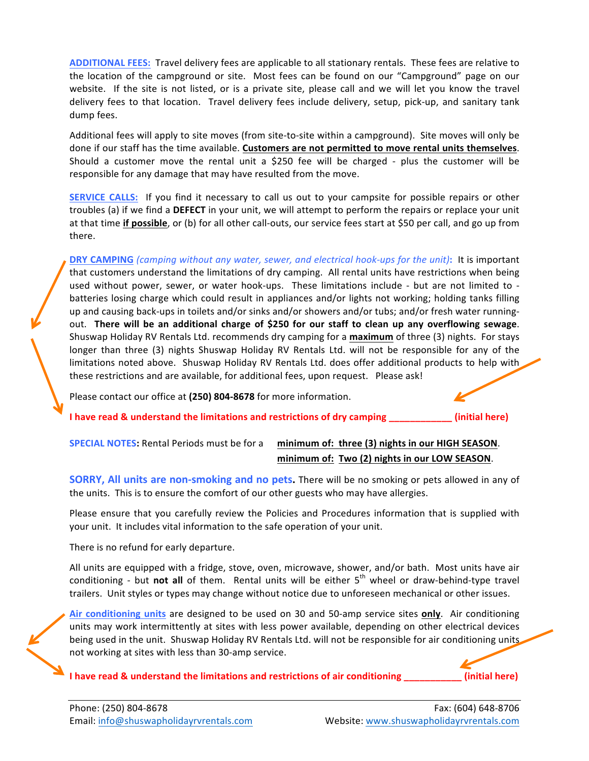**ADDITIONAL FEES:** Travel delivery fees are applicable to all stationary rentals. These fees are relative to the location of the campground or site. Most fees can be found on our "Campground" page on our website. If the site is not listed, or is a private site, please call and we will let you know the travel delivery fees to that location. Travel delivery fees include delivery, setup, pick-up, and sanitary tank dump fees.

Additional fees will apply to site moves (from site-to-site within a campground). Site moves will only be done if our staff has the time available. Customers are not permitted to move rental units themselves. Should a customer move the rental unit a \$250 fee will be charged - plus the customer will be responsible for any damage that may have resulted from the move.

**SERVICE CALLS:** If you find it necessary to call us out to your campsite for possible repairs or other troubles (a) if we find a DEFECT in your unit, we will attempt to perform the repairs or replace your unit at that time **if possible**, or (b) for all other call-outs, our service fees start at \$50 per call, and go up from there. 

**DRY CAMPING** (camping without any water, sewer, and electrical hook-ups for the unit): It is important that customers understand the limitations of dry camping. All rental units have restrictions when being used without power, sewer, or water hook-ups. These limitations include - but are not limited to batteries losing charge which could result in appliances and/or lights not working; holding tanks filling up and causing back-ups in toilets and/or sinks and/or showers and/or tubs; and/or fresh water runningout. **There will be an additional charge of \$250 for our staff to clean up any overflowing sewage**. Shuswap Holiday RV Rentals Ltd. recommends dry camping for a maximum of three (3) nights. For stays longer than three (3) nights Shuswap Holiday RV Rentals Ltd. will not be responsible for any of the limitations noted above. Shuswap Holiday RV Rentals Ltd. does offer additional products to help with these restrictions and are available, for additional fees, upon request. Please ask!

Please contact our office at (250) 804-8678 for more information.

**I** have read & understand the limitations and restrictions of dry camping \_\_\_\_\_\_\_\_\_\_\_\_(initial here)

**SPECIAL NOTES:** Rental Periods must be for a minimum of: three (3) nights in our HIGH SEASON. **minimum of: Two (2) nights in our LOW SEASON.** 

**SORRY, All units are non-smoking and no pets.** There will be no smoking or pets allowed in any of the units. This is to ensure the comfort of our other guests who may have allergies.

Please ensure that you carefully review the Policies and Procedures information that is supplied with your unit. It includes vital information to the safe operation of your unit.

There is no refund for early departure.

All units are equipped with a fridge, stove, oven, microwave, shower, and/or bath. Most units have air conditioning - but **not all** of them. Rental units will be either  $5<sup>th</sup>$  wheel or draw-behind-type travel trailers. Unit styles or types may change without notice due to unforeseen mechanical or other issues.

Air conditioning units are designed to be used on 30 and 50-amp service sites only. Air conditioning units may work intermittently at sites with less power available, depending on other electrical devices being used in the unit. Shuswap Holiday RV Rentals Ltd. will not be responsible for air conditioning units. not working at sites with less than 30-amp service.

**I** have read & understand the limitations and restrictions of air conditioning \_\_\_\_\_\_\_\_\_\_\_\_ (initial here)